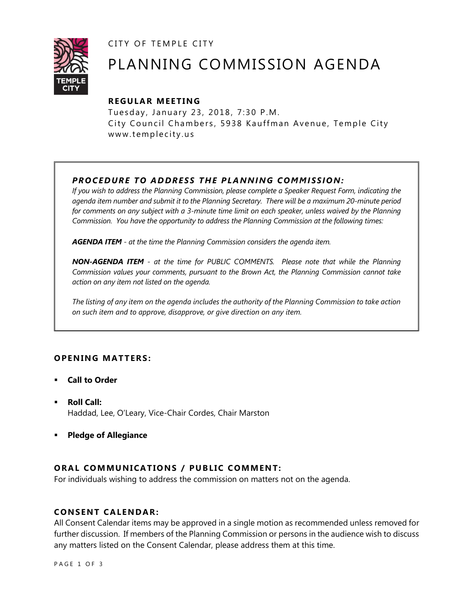CITY OF TEMPLE CITY



# PLANNING COMMISSION AGENDA

# **R EGULA R MEE TING**

Tuesday, January 23, 2018, 7:30 P.M. City Council Chambers, 5938 Kauffman Avenue, Temple City www.templecity.us

# *PRO CE DURE TO ADDRE SS THE P LA NNI NG COMM I SSION:*

*If you wish to address the Planning Commission, please complete a Speaker Request Form, indicating the agenda item number and submit it to the Planning Secretary. There will be a maximum 20-minute period*  for comments on any subject with a 3-minute time limit on each speaker, unless waived by the Planning *Commission. You have the opportunity to address the Planning Commission at the following times:*

*AGENDA ITEM - at the time the Planning Commission considers the agenda item.*

*NON-AGENDA ITEM - at the time for PUBLIC COMMENTS. Please note that while the Planning Commission values your comments, pursuant to the Brown Act, the Planning Commission cannot take action on any item not listed on the agenda.*

*The listing of any item on the agenda includes the authority of the Planning Commission to take action on such item and to approve, disapprove, or give direction on any item.*

# **OPENING MATTERS:**

- **Call to Order**
- **Roll Call:** Haddad, Lee, O'Leary, Vice-Chair Cordes, Chair Marston
- **Pledge of Allegiance**

# **ORAL COMMUNICATIONS / PUBLIC COMMENT:**

For individuals wishing to address the commission on matters not on the agenda.

#### **CONSENT CA LENDAR:**

All Consent Calendar items may be approved in a single motion as recommended unless removed for further discussion. If members of the Planning Commission or persons in the audience wish to discuss any matters listed on the Consent Calendar, please address them at this time.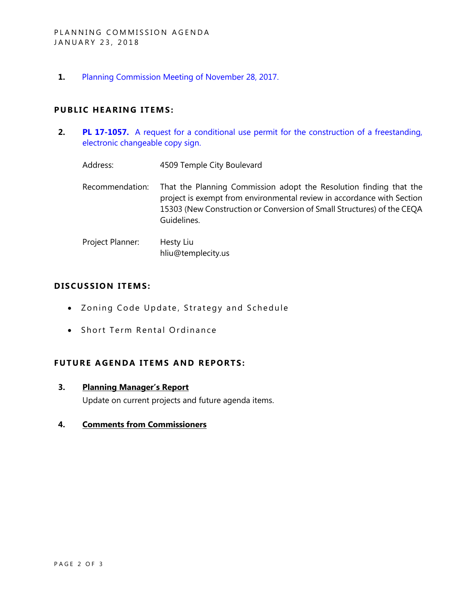$1.$ Planning Commission Meeting of November 28, 2017.

#### **PUBLIC HEARING ITEMS:**

- $2.$ PL 17-1057. A request for a conditional use permit for the construction of a freestanding, electronic changeable copy sign.
	- Address: 4509 Temple City Boulevard
	- Recommendation: That the Planning Commission adopt the Resolution finding that the project is exempt from environmental review in accordance with Section 15303 (New Construction or Conversion of Small Structures) of the CEQA Guidelines.
	- Project Planner: Hesty Liu hliu@templecity.us

#### **DISCUSSION ITEMS:**

- Zoning Code Update, Strategy and Schedule
- Short Term Rental Ordinance

#### **FUTURE AGENDA ITEMS AND REPORTS:**

 $\overline{3}$ . **Planning Manager's Report** 

Update on current projects and future agenda items.

#### $\mathbf{4}$ **Comments from Commissioners**